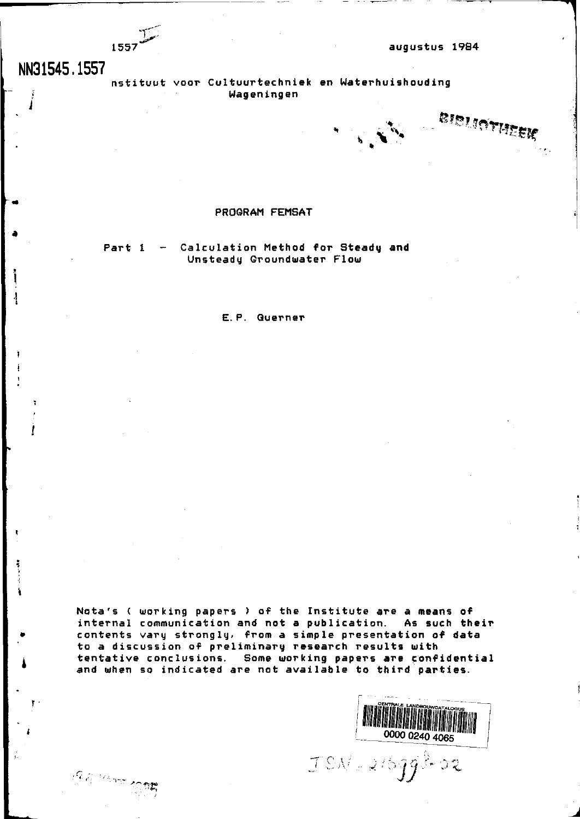

1960 March 2005

**1557 augustus 1984** 

**%** 

**• .** *«'\*iitfrm\** 

**^ > " "-\*\*\*\*«?££** 

**1** 

# **NN31545.1557**

i

**nstituut voor Cultuurtechniek en Waterhuishouding • Mageningen** 

### **PROGRAM FEMSAT**

**Part 1 - Calculation Method for Steady and unsteady Groundwater Flow** 

**E. P. Querner** 

**Nota's ( working papers ) of the Institute are a means of internal communication and not a publication. As such their contents vary stronglyi from a simple presentation of data to a discussion of preliminary research results with tentative conclusions. Some working papers are confidential and when so indicated are not available to third parties.** 

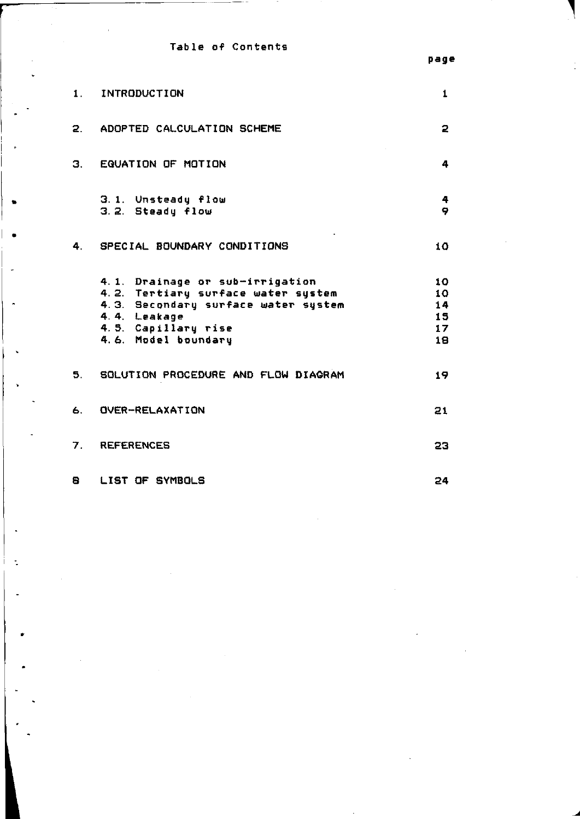| Table of Contents |  |  |  |  |
|-------------------|--|--|--|--|
|-------------------|--|--|--|--|

|    | 1. INTRODUCTION                                                                                                                                                           | $\mathbf{1}$                     |
|----|---------------------------------------------------------------------------------------------------------------------------------------------------------------------------|----------------------------------|
|    | 2. ADOPTED CALCULATION SCHEME                                                                                                                                             | $\overline{2}$                   |
|    | 3. EQUATION OF MOTION                                                                                                                                                     | 4                                |
|    | 3.1. Unsteady flow<br>3.2. Steady flow                                                                                                                                    | 4<br>9                           |
|    | 4. SPECIAL BOUNDARY CONDITIONS                                                                                                                                            | 10                               |
|    | 4.1. Drainage or sub-irrigation<br>4.2. Tertiary surface water system<br>4.3. Secondary surface water system<br>4.4 Leakage<br>4.5. Capillary rise<br>4.6. Model boundary | 10<br>10<br>14<br>15<br>17<br>18 |
|    | 5. SOLUTION PROCEDURE AND FLOW DIAGRAM                                                                                                                                    | 19                               |
| 6. | OVER-RELAXATION                                                                                                                                                           | 21                               |
|    | 7. REFERENCES                                                                                                                                                             | 23                               |
| 8  | LIST OF SYMBOLS                                                                                                                                                           | 24                               |

 $\tilde{\mathbb{Z}}$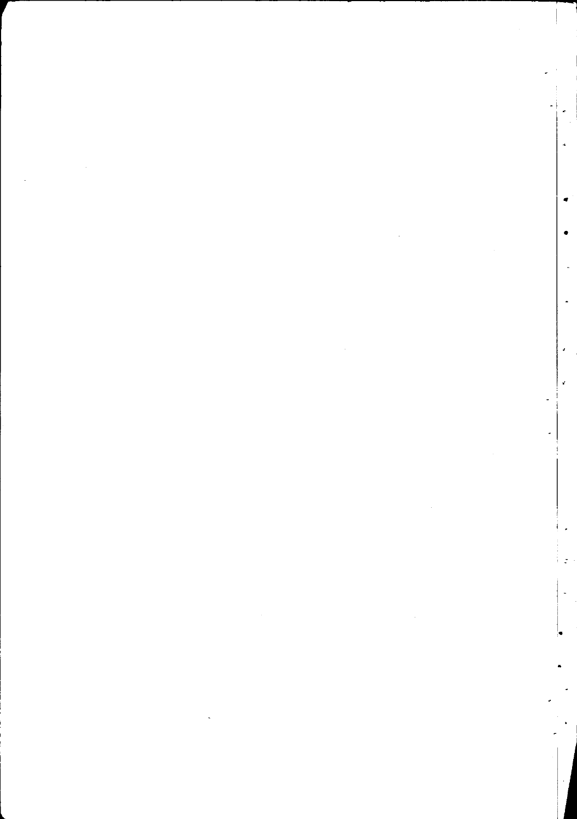$\sim 10^7$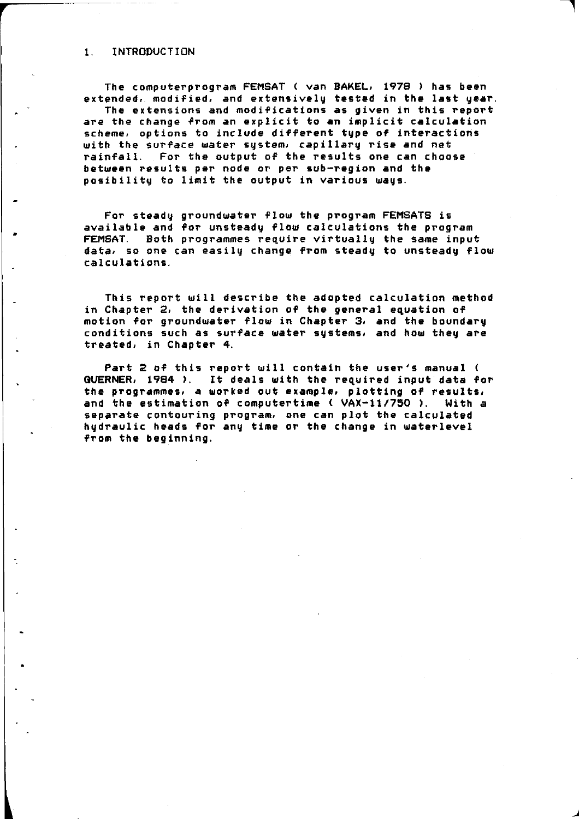#### **1. INTRODUCTION**

The computerprogram FEMSAT ( van BAKEL, 1978 ) has been extended, modified, and extensively tested in the last year.

**The extensions and modifications as given in this report**  *are* **the change from an explicit to an implicit calculation scheme/ options to include different type of interactions with the surface tua ter system« capillary rise and net rainfall. For the output of the results one can choose between results per node or per sub-region and the posibility to limit the output in various ways.** 

**For steady groundwater flow the program FEMSATS is available and for unsteady flow calculations the program FEMSAT. Both programmes require virtually the same input data/ so one can easily change from steady to unsteady flow calculations.** 

**This report will describe the adopted calculation method in Chapter 2» the derivation of the general equation of motion for groundwater flow in Chapter 3« and the boundary**  conditions such as surface water systems, and how **treated» in Chapter 4.** 

**Part 2 of this report will contain the user's manual ( QUERNER, 1984 ). It deals with the required input data for**  the programmes, a worked out example, plotting of results, **and the estimation of computertime ( VAX-11/750 ). With a separate contouring program« one can plot the calculated hydraulic heads for any time or the change in waterlevel from the beginning.**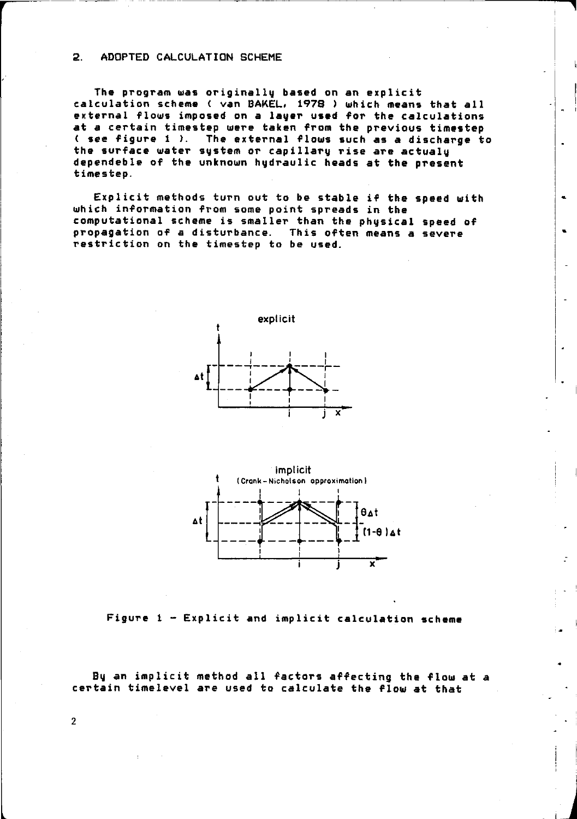#### **2. ADOPTED CALCULATION SCHEME**

**The program uas originally based on an explicit**  calculation scheme ( van BAKEL, 1978 ) which means that all **external flous imposed on a layer used for the calculations at a certain timestep mere taken from the previous timestep ( see figure 1 ). The external flous such as a discharge to the surface water system or capillary rise are actualy dependeble of the unknown hydraulic heads at the present timestep.** 

**Explicit methods turn out to be stable if the speed with which information from some point spreads in the computational scheme is smaller than the physical speed of propagation of a disturbance. This often means a severe restriction on the timestep to be used.** 





**Figure 1 - Explicit and implicit calculation scheme** 

**By an implicit method all factors affecting the flou at a certain timelevel are used to calculate the flou at that** 

**J** 

 $\overline{2}$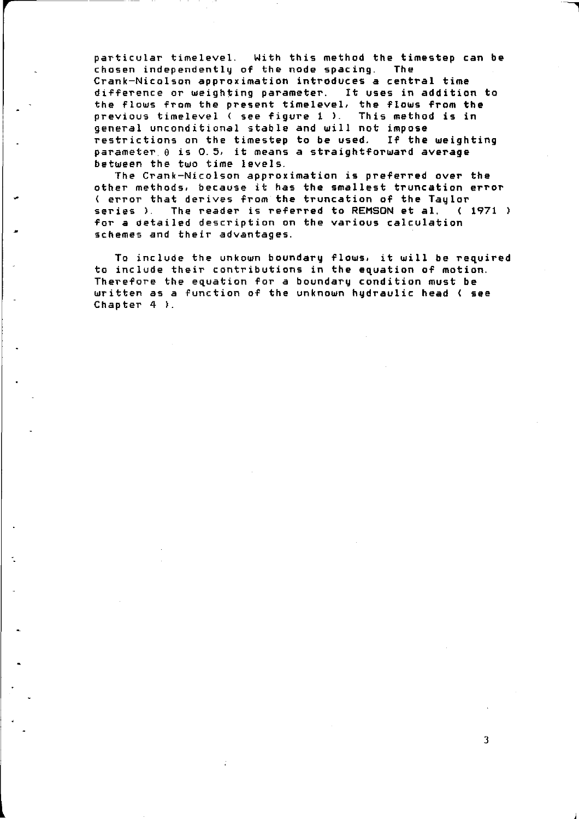particular timelevel. With this method the timestep can be chosen independently of the node spacing. Crank-Nicolson approximation introduces a central time difference or weighting parameter. It uses in addition to the flows from the present timelevel, the flows from the previous timelevel ( see figure 1 >. This method is in general unconditional stable and will not impose restrictions on the timestep to be used. If the weighting  $parameter<sub>0</sub>$  is 0.5, it means a straightforward average between the two time levels.

The Crank-Nicolson approximation is preferred over the other methods» because it has the smallest truncation error ( error that derives from the truncation of the Taylor series ). The reader is referred to REMSON et al. ( 1971 ) for a detailed description on the various calculation schemes and their advantages.

To include the unkown boundary flows, it will be required to include their contributions in the equation of motion. Therefore the equation for a boundary condition must be written as a function of the unknown hydraulic head ( see Chapter 4 ).

**"^1**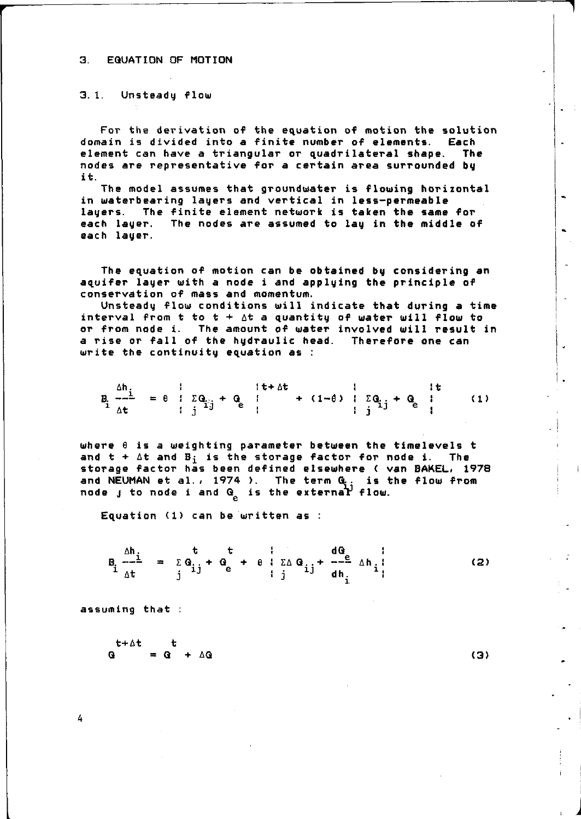#### **3. EQUATION OF MOTION**

#### **3. 1. Unsteady flow**

**For the derivation of the equation of motion the solution domain is divided into a finite number of elements. Each element can have a triangular or quadrilateral shape. The nodes are representative for a certain area surrounded by it.** 

**The model assumes that groundwater is flowing horizontal in waterbearing layers and vertical in less-permeable**  layers. The finite element network is taken the **each layer. The nodes are assumed to lay in the middle of each layer.** 

**The equation of motion can be obtained by considering an aquifer layer with a node i and applying the principle of conservation of mass and momentum.** 

**Unsteady flow conditions will indicate that during a time interval from t to t + At a quantity of water will flow to or from node i. The amount of water involved will result in a rise or fall of the hydraulic head. Therefore one can write the continuity equation as :** 

$$
B_i \frac{\Delta h_i}{\Delta t} = \theta \begin{vmatrix} i & i t + \Delta t & i \\ i & j \end{vmatrix} + Q_i \begin{vmatrix} i t + \Delta t & i \\ i & j \end{vmatrix} + (1 - \theta) \begin{vmatrix} i & j t \\ j & j \end{vmatrix} + Q_i \begin{vmatrix} i t \\ j \end{vmatrix} \tag{1}
$$

**where 6 is a weighting parameter between the timelevels t**  and  $t + \Delta t$  and  $B_i$  is the storage factor for node i. The storage factor has been defined elsewhere ( van BAKEL, 1978 and NEUMAN et al., 1974 ). The term **G**. is the flow from node  $j$  to node  $i$  and  $Q$  is the external flow.

**Equation (1) can be written as :** 

**e** 

$$
B_i \frac{\Delta h_i}{\Delta t} = \sum_{j} G_{ij} + G_e + \theta i \sum_{i} G_{ij} + \frac{dG_e}{dh_i} \Delta h_i
$$
 (2)

 $\overline{a}$ 

**assuming that :** 

4

**t+At t**   $Q = Q + \Delta Q$  (3)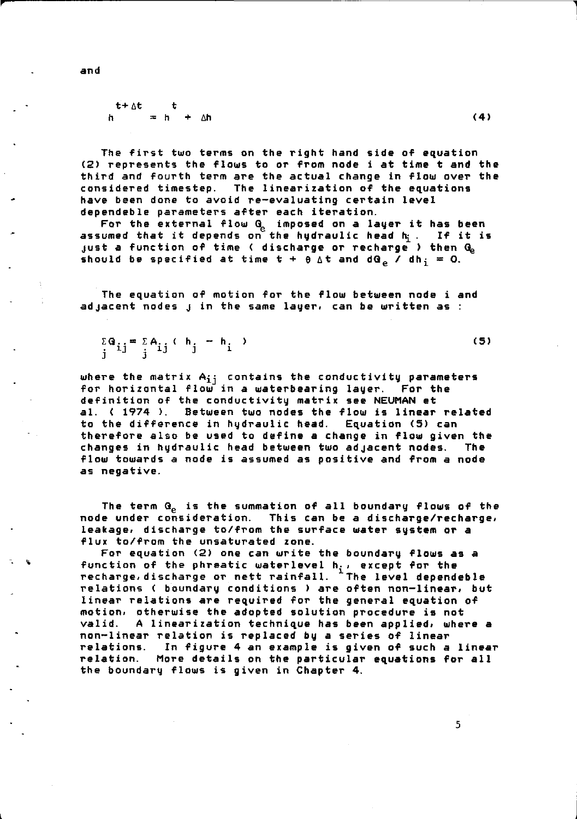$$
t + \Delta t \qquad t
$$
  

$$
h = h + \Delta h
$$

**The first two terms on the right hand side of equation (2) represents the flows to or from node i at time t and the third and fourth term are the actual change in flow over the considered timestep. The linearization of the equations have been done to avoid re-evaluating certain level dependeble parameters after each iteration.** 

For the external flow **G** imposed on a layer i assumed that it depends on the hydraulic head **h**: **just a function of time ( discharge or recharge > then G^**  should be specified at time  $t + \theta \Delta t$  and  $d\theta_e$  **/**  $dh_i = 0$ .

**The equation of motion for the flow between node i and adjacent nodes j in the same layer/ can be written as :** 

 $(5)$  $\sum G_{i,j} = \sum A_{i,j}$  ( h<sub>1</sub> - h<sub>1</sub> ) **(5)**  $\sum G_{i,j} = \sum A_{i,j}$ **J J** 

**where the matrix Ajj contains the conductivity parameters for horizontal flow in a waterbearing layer. For the definition of the conductivity matrix see NEUMAN et al. ( 1974 ). Between two nodes the flow is linear related to the difference in hydraulic head. Equation (5) can therefore also be used to define a change in flow given the changes in hydraulic head between two adjacent nodes. The flow towards a node is assumed as positive and from a node as negative.** 

**The term Qe is the summation of all boundary flows of the**  node under consideration. This can be a discharge/recharge, **leakagei discharge to/from the surface water system or a flux to/from the unsaturated zone.** 

**For equation (2) one can write the boundary flows as a**  function of the phreatic waterlevel **h**., except recharge discharge or nett rainfall. <sup>\*</sup>The level deper **relations ( boundary conditions )** *are* **often non-linear\* but linear relations are required for the general equation of motion« otherwise the adopted solution procedure is not valid.** A linearization technique has been applied, where a **non-linear relation is replaced by a series of linear relations. In figure 4 an example is given of such a linear relation. More details on the particular equations for all the boundary flows is given in Chapter 4.** 

**and** 

 $(4)$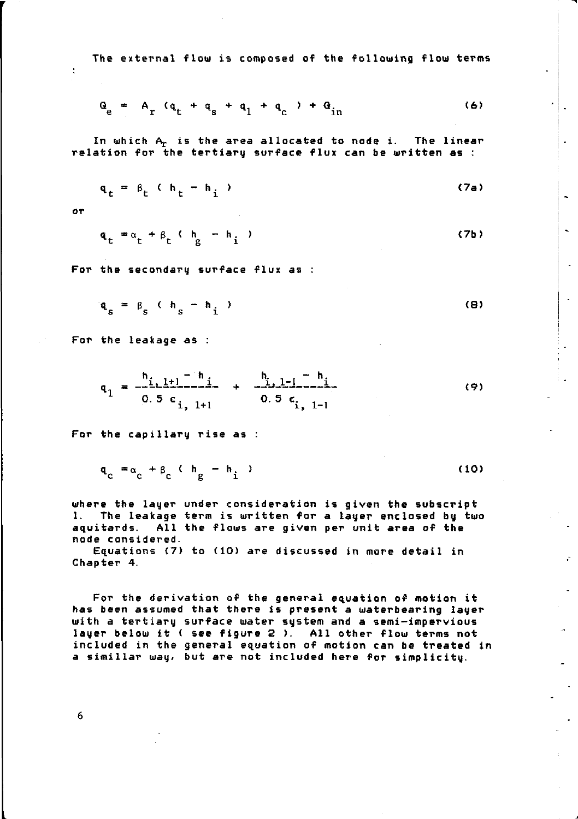**The external flou» is composed of the following flou» terms** 

$$
Q_{e} = A_{r} (q_{t} + q_{s} + q_{1} + q_{c}) + A_{in}
$$
 (6)

ä

 $\mathbf{r}$ 

**In which Aj- is the** *area* **allocated to node i. The linear relation for the tertiary surface flux can be written as :** 

$$
\mathbf{q}_t = \mathbf{\beta}_t \quad (\mathbf{h}_t - \mathbf{h}_i) \tag{7a}
$$

**or** 

$$
\mathbf{q}_t = \alpha_t + \beta_t (\mathbf{h}_s - \mathbf{h}_i)
$$
 (7b)

**Far the secondary surface flux as :** 

$$
\mathbf{q}_s = \beta_s \quad (\mathbf{h}_s - \mathbf{h}_i) \tag{8}
$$

For the leakage as :

$$
q_{1} = \frac{h_{i,1+1}-h_{i}}{0.5 c_{i,1+1}} + \frac{h_{i,1-1}-h_{i}}{0.5 c_{i,1-1}}
$$
 (9)

**For the capillary rise as :** 

$$
\mathfrak{q}_c = \alpha_c + \beta_c \left( h - h_i \right) \tag{10}
$$

**where the layer under consideration is given the subscript 1. The leakage term is written for a layer enclosed by two aquitards. All the flows** *are* **given per unit** *area* **of the node considered.** 

**Equations (7) to (10) are discussed in more detail in Chapter 4.** 

**For the derivation of the general equation of motion it has been assumed that there is present a waterbearing layer with a tertiary surface water system and a semi-impervious layer below it ( see figure 2 ). All other flow terms not included in the general equation of motion can be treated in a simillar way> but are not included here for simplicity.**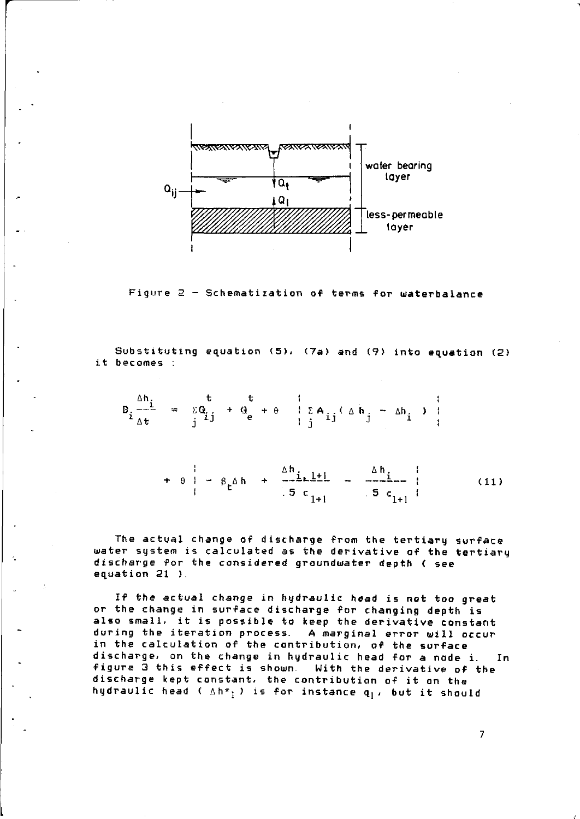

Figure  $2$  - Schematization of terms for waterbalance

Substituting equation (5), (7a) and (9) into equation (2) it becomes

Ah.  $^{\perp}$   $\Delta$  t  $\Sigma$ Q.  $_2$  + G  $j$   $\bar{j}$  $\Sigma$  A  $_{zz}$  (  $\Delta$  h  $_{\pm}$   $\sim$   $\Delta$ f

$$
+ \theta | - \beta_{t} \Delta h + \frac{\Delta h_{i}}{5 c_{i+1}} = \frac{\Delta h_{i}}{5 c_{i+1}}
$$
 (11)

The actual change of discharge from the tertiary surface water system is calculated as the derivative of the tertiary discharge for the considered groundwater depth ( see equation 21 ).

If the actual change in hydraulic head is not too great or the change in surface discharge for changing depth is also small, it is possible to keep the derivative constant during the iteration process. A marginal error will occur in the calculation of the contribution, of the surface discharge, on the change in hydraulic head for a node i. In figure 3 this effect is shown. With the derivative of the discharge kept constant, the contribution of it on the hydraulic head (  $\Delta h*_{\frac{1}{2}}$  ) is for instance  ${\bf q}_1$ , but it should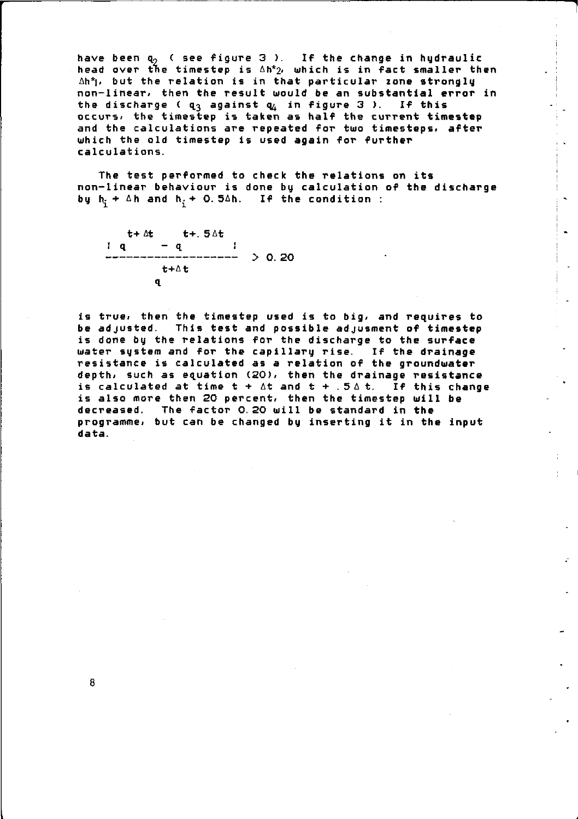have been  $\mathbf{q}_2$  ( see figure 3 ). I<mark>f t</mark>he change i head over the timestep is  $\Delta h^2$ , which is in fact smaller then **Ah\*j/ but the relation is in that particular zone strongly non-linear/ then the result would be an substantial error in**  the discharge (  $q_3$  against  $q_4$  in figure 3 ). If this **occurs« the timestep is taken as half the current timestep**  and the calculations are repeated for two timesteps, after **which the old timestep is used again for further calculations.** 

**The test performed to check the relations on its non-linear behaviour is done by calculation of the discharge**  by  $h_i + \Delta h$  and  $h_i + O$ . 5 $\Delta h$ . If the condition :

$$
t + \Delta t \qquad t + .5 \Delta t
$$
  
\n
$$
t \qquad - q \qquad 1
$$
  
\n
$$
t + \Delta t \qquad 0.20
$$
  
\n
$$
q
$$

8

**is true/ then the timestep used is to big» and requires to be adjusted. This test and possible adjusment of timestep is done by the relations for the discharge to the surface water system and for the capillary rise. If the drainage resistance is calculated as a relation of the groundwater depth/ such as equation (20), then the drainage resistance is calculated at time t + At and t + . 5 A t. If this change**  is also more then 20 percent, then the timestep will be **decreased. The factor 0.20 will be standard in the programme/ but can be changed by inserting it in the input data.**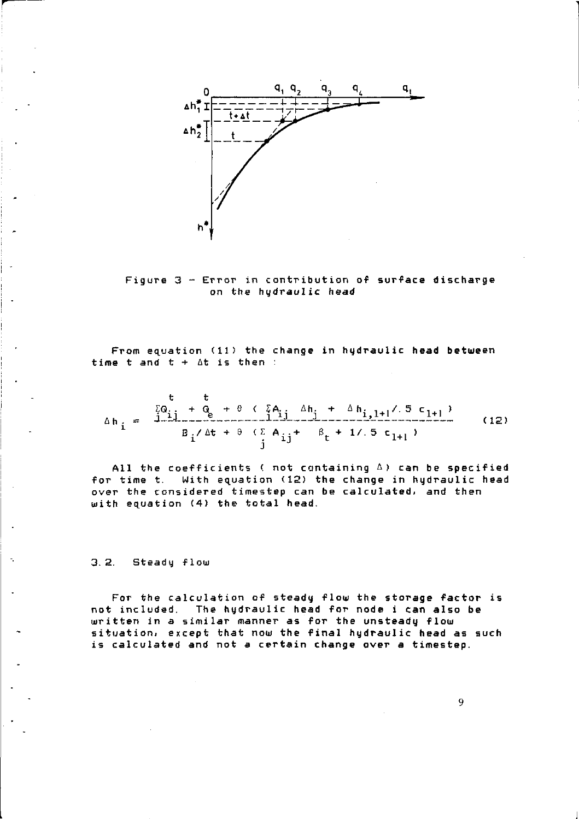

Figure 3 - Error in contribution of surface discharge on the hydraulic head

From equation (11) the change in hydraulic head between time t and  $t + \Delta t$  is then :

$$
\Delta h_{i} = \frac{\sum_{i=1}^{C} a_{i} + a_{i} + \theta ( \sum_{i=1}^{C} A_{i} + \Delta h_{i} + \Delta h_{i} + \Delta h_{i} + \Delta h_{i} + \theta ( \sum_{i=1}^{C} A_{i} + \theta ( \sum_{i=1}^{C} A_{i} + \theta ( \sum_{i=1}^{C} A_{i} + \theta ( \sum_{i=1}^{C} A_{i} + \theta ( \sum_{i=1}^{C} A_{i} + \theta ( \sum_{i=1}^{C} A_{i} + \theta ( \sum_{i=1}^{C} A_{i} + \theta ( \sum_{i=1}^{C} A_{i} + \theta ( \sum_{i=1}^{C} A_{i} + \theta ( \sum_{i=1}^{C} A_{i} + \theta ( \sum_{i=1}^{C} A_{i} + \theta ( \sum_{i=1}^{C} A_{i} + \theta ( \sum_{i=1}^{C} A_{i} + \theta ( \sum_{i=1}^{C} A_{i} + \theta ( \sum_{i=1}^{C} A_{i} + \theta ( \sum_{i=1}^{C} A_{i} + \theta ( \sum_{i=1}^{C} A_{i} + \theta ( \sum_{i=1}^{C} A_{i} + \theta ( \sum_{i=1}^{C} A_{i} + \theta ( \sum_{i=1}^{C} A_{i} + \theta ( \sum_{i=1}^{C} A_{i} + \theta ( \sum_{i=1}^{C} A_{i} + \theta ( \sum_{i=1}^{C} A_{i} + \theta ( \sum_{i=1}^{C} A_{i} + \theta ( \sum_{i=1}^{C} A_{i} + \theta ( \sum_{i=1}^{C} A_{i} + \theta ( \sum_{i=1}^{C} A_{i} + \theta ( \sum_{i=1}^{C} A_{i} + \theta ( \sum_{i=1}^{C} A_{i} + \theta ( \sum_{i=1}^{C} A_{i} + \theta ( \sum_{i=1}^{C} A_{i} + \theta ( \sum_{i=1}^{C} A_{i} + \theta ( \sum_{i=1}^{C} A_{i} + \theta ( \sum_{i=1}^{C} A_{i} + \theta ( \sum_{i=1}^{C} A_{i} + \theta ( \sum_{i=1}^{C} A_{i} + \theta ( \sum_{i=1}^{C} A_{i} + \theta ( \sum_{i=1}^{C} A_{i} + \
$$

All the coefficients ( not containing  $\Delta$ ) can be specified for time t. With equation (12) the change in hydraulic head over the considered timestep can be calculated; and then with equation (4) the total head.

#### 3. 2. Steady flow

For the calculation of steady flow the storage factor is not included. The hydraulic head for node i can also be written in a similar manner as for the unsteady flow situation» except that now the final hydraulic head as such is calculated and not a certain change over a timestep.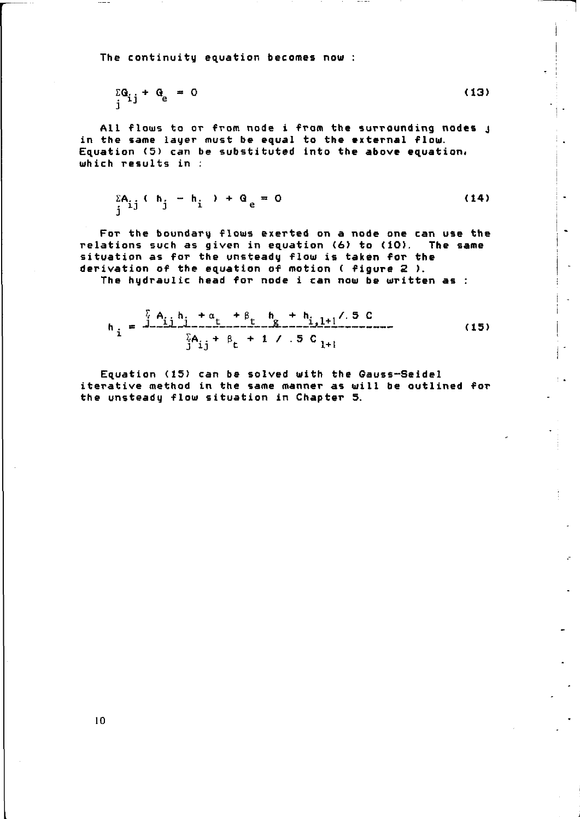**The continuity equation becomes now** 

$$
\Sigma \mathbf{Q}_{i,j} + \mathbf{Q}_e = 0 \tag{13}
$$

**All flows to or from node i from the surrounding nodes j in the same layer must be equal to the external flow. Equation (5) can be substituted into the above equation! which results in :** 

$$
\sum_{j=1}^{2} (h_j - h_i) + Q_e = 0
$$
 (14)

**For the boundary flows exerted on a node one can use the relations such as given in equation (6) to (10). The same situation as for the unsteady flow is taken for the derivation of the equation of motion ( figure 2 ).** 

**The hydraulic head for node i can now be written as :** 

$$
h_{i} = \frac{\sum_{i=1}^{5} A_{i,j} h_{i} + \alpha_{t} + \beta_{t} h_{i} + h_{i,j,l+1} / . 5 C}{\sum_{i=1}^{5} A_{i,j} + \beta_{t} + 1 / . 5 C_{l+1}}
$$
 (15)

**Equation (15) can be solved with the Gauss-Seidel iterative method in the same manner as will be outlined for the unsteady flow situation in Chapter 5.**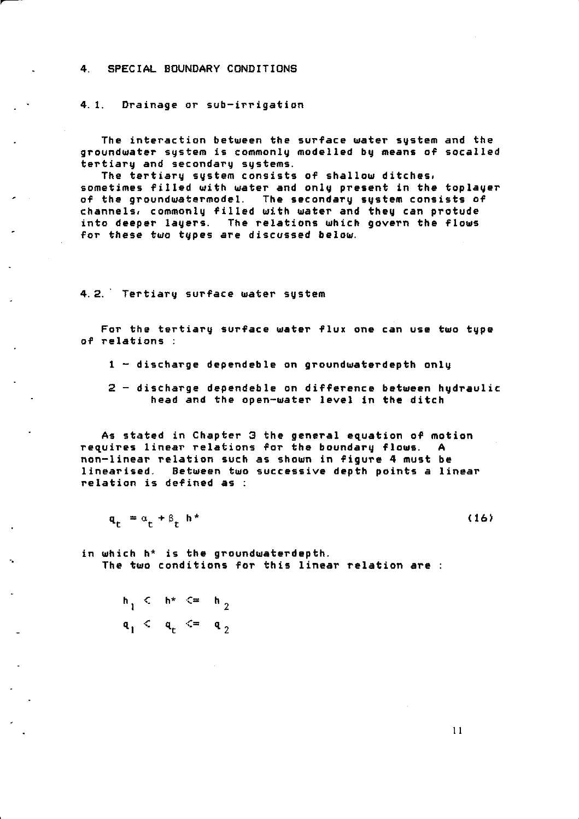#### **4. SPECIAL BOUNDARY CONDITIONS**

**4. 1. Drainage or sub-irrigation** 

**The interaction between the surface water system and the groundwater system is commonly modelled by means of socalled tertiary and secondary systems.** 

**The tertiary system consists of shallow ditchesi sometimes filled with water and only present in the toplayer of the groundwatermodel. The secondary system consists of channels/ commonly filled with water and they can protude into deeper layers. The relations which govern the flows for these two types are discussed below.** 

#### **4.2. Tertiary surface water system**

**For the tertiary surface water flux one can use two type of relations :** 

- **1 discharge dependeble on groundwaterdepth only**
- **2 discharge dependeble on difference between hydraulic head and the open-water level in the ditch**

**As stated in Chapter 3 the general equation of motion requires linear relations for the boundary flows. A non-linear relation such as shown in figure 4 must be linearised. Between two successive depth points a linear relation is defined as :** 

$$
\mathbf{q}_t = \alpha_t + \beta_t \mathbf{h}^* \tag{16}
$$

**in which h\* is the groundwaterdepth. The two conditions for this linear relation are :** 

> $h_1 \leq h^* \leq h_2$  $\mathfrak{a}_1 \leq \mathfrak{a}_\mathfrak{t} \leq \mathfrak{a}_2$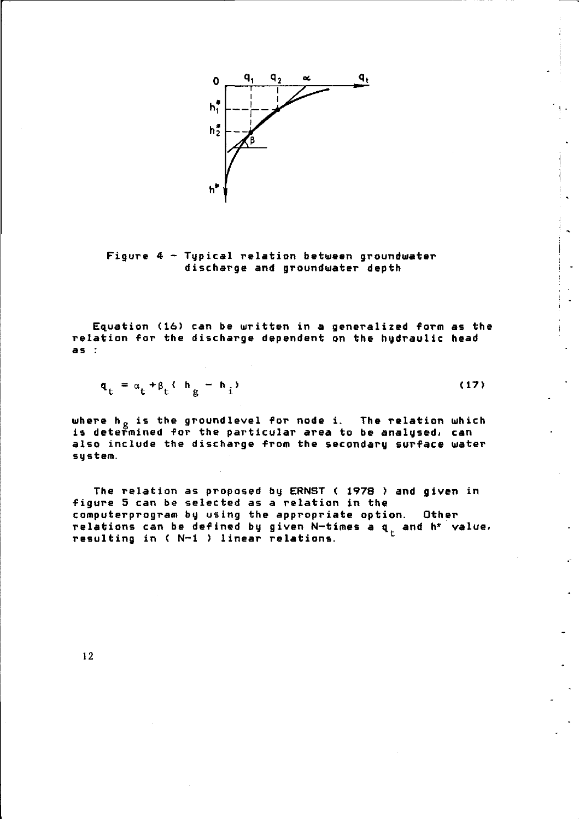

**Figure 4 - Typical relation between groundwater discharge and groundwater depth** 

**Equation (16) can be written in a generalized form as the relation for the discharge dependent on the hydraulic head as :** 

$$
\mathbf{q}_t = \alpha_t + \beta_t (h_g - h_i)
$$
 (17)

where h<sub>o</sub> is the groundlevel for node i. The relati is determined for the particular area to be analys **also include the discharge from the secondary surface water system.** 

**The relation as proposed by ERNST < 1978 ) and given in figure 5 can be selected as a relation in the computerprogram by using the appropriate option. Other relations can be defined by given N-times a q and h\* value/ resulting in ( N-l > linear relations.**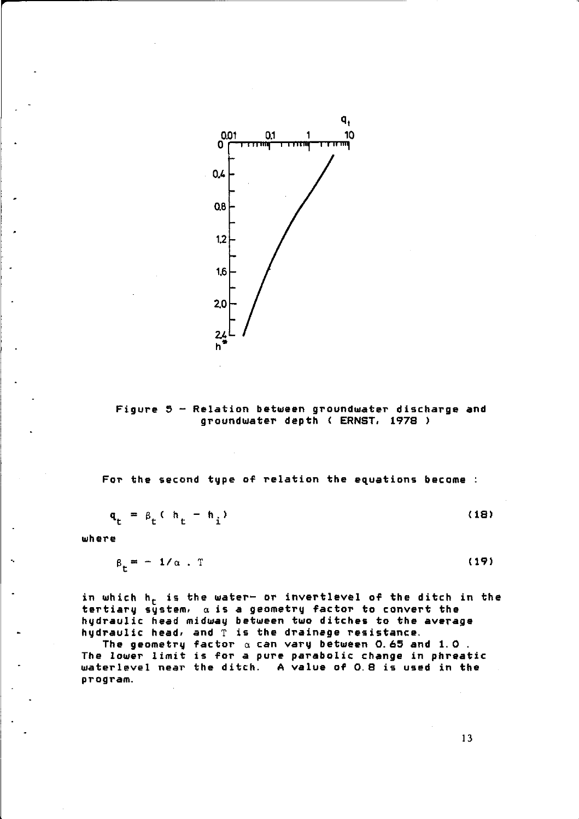

**Figure 5 - Relation between groundwater discharge and groundwater depth ( ERNST, 1978 )** 

**For the second type of relation the equations become** 

$$
\mathbf{q}_t = \beta_t (h_t - h_i) \tag{18}
$$

**where** 

 $\beta_{\rm t} = -1/\alpha$ . T (19)

**in which ht is the water- or invertlevel of the ditch in the tertiary system/ a is a geometry factor to convert the hydraulic head midway between two ditches to the average hydraulic head/ and T is the drainage resistance.** 

**The geometry factor a can vary between O.65 and 1. O . The lower limit is for a pure parabolic change in phreatic waterlevel near the ditch. A value of 0.8 is used in the program.**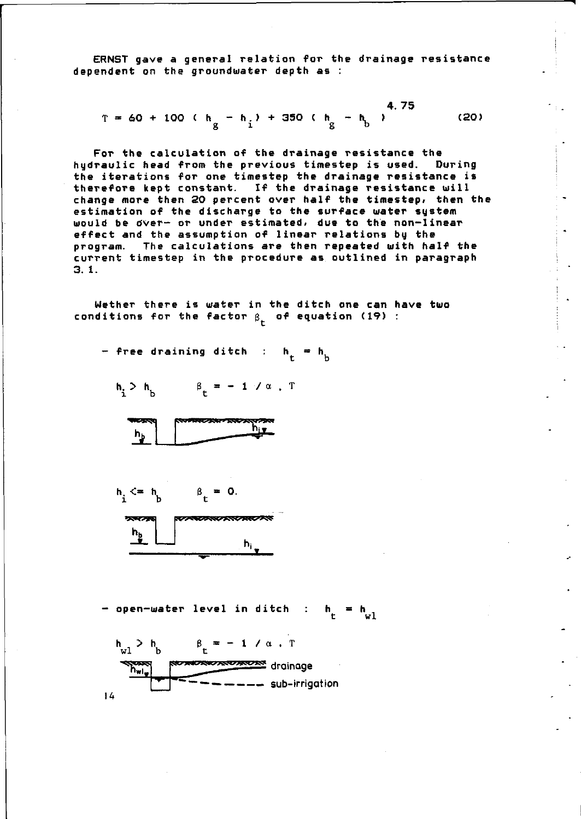**ERNST gave a general relation for the drainage resistance dependent on the groundwater depth as :** 

$$
T = 60 + 100 (hg - hi) + 350 (hg - hb)
$$
 (20)

For the calculation of the drainage resistance t hydr<mark>aulic head from the previous timestep is used. Dur</mark> the iterations for one timestep the drainage resistance therefore kept constant. If the drainage resi<mark>stance w</mark>i change more then 20 percent over half the timestep, then estimation of the discharge to th<mark>e surface water syst</mark> would be over- or under estim<mark>ated, due to the non-lin</mark> effect and the assumption of li<mark>near relations by t</mark> program. The calculations <mark>are then repeated with half</mark> current timestep in the procedur<mark>e as outlined in paragra</mark> **3. 1.** 

**Wether there is water in the ditch one can have two**  conditions for the factor  $\beta_t$  of equation (19) :

free draining ditch : h<sub>t</sub> = h

$$
h_i > h_b \qquad \beta_t = -1 \lor \alpha \cdot T
$$



$$
h_i \leq h_i
$$
\n
$$
h_i
$$
\n
$$
h_i
$$
\n
$$
h_i
$$
\n
$$
h_i
$$

 $-$  open-water level in ditch :  $h_{t}$  $\mathbf{h}_{w1}$ 

$$
h_{w1} > h_{b} \qquad \beta_{t} = -1 / \alpha \cdot T
$$
\nExample 4

\nExample 4

\nExample 4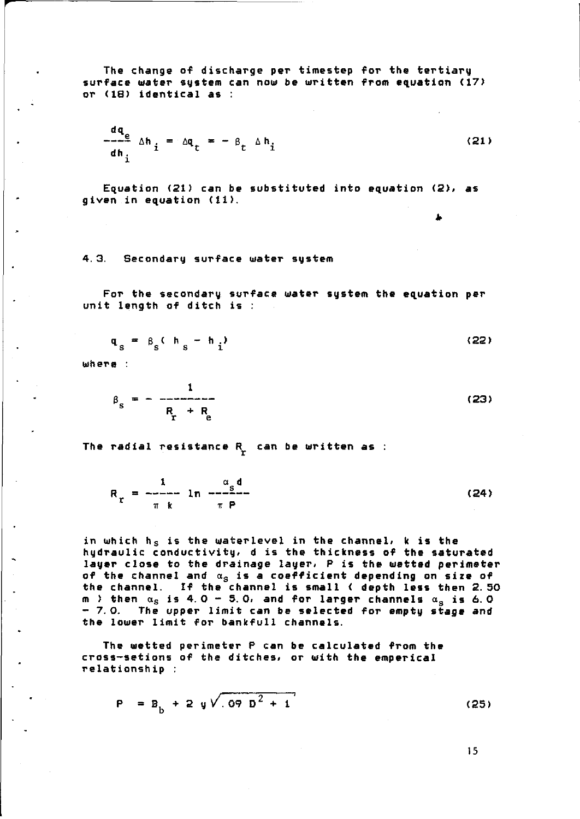**The change of discharge per timestep for the tertiary surface water system can now be written from equation (17) or (18) identical as :** 

$$
\frac{aq_e}{dh_i} \Delta h_i = \Delta q_t = -\beta_t \Delta h_i
$$
 (21)

**Equation (21) can be substituted into equation (2), as given in equation (11).** 

#### **4.3. Secondary surface water system**

**For the secondary surface water system the equation per unit length of ditch is :** 

$$
\mathfrak{q}_s = \beta_s (\mathfrak{h}_s - \mathfrak{h}_i) \tag{22}
$$

**where** 

l

 $\beta_s = -$  ----------<br> **R**<sub>F</sub> + R<sub>e</sub>

**The radial resistance R can be written as** 

**r** 

$$
R_{r} = \frac{1}{\pi k} \ln \frac{\alpha_{s} d}{\pi P}
$$
 (24)

in which h<sub>s</sub> is the waterlevel in the channel, k is the hydraulic conductivity, d is the thickness of the saturated layer close to the drainage layer. P is the wetted perimeter **of the channel and as is a coefficient depending on size of the channel. If the channel is small ( depth less then 2. 50 m** ) then  $\alpha_s$  is 4.0 - 5.0, and for larger channels  $\alpha_s$  is 6.0 **- 7.0. The upper limit can be selected for empty stage and the lower limit for bankfull channels.** 

**The wetted perimeter P can be calculated from the cross-setions of the ditches, or with the emperical relationship :** 

$$
P = B_{b} + 2 y \sqrt{.09 D^{2} + 1}
$$
 (25)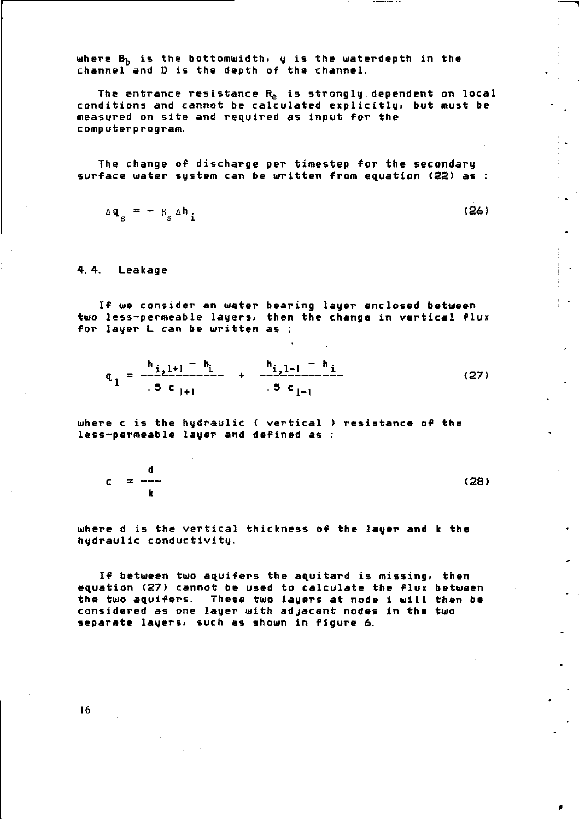**where Bb is the bottomwidth» y is the uaterdepth in the channel and O is the depth of the channel.** 

**The entrance resistance Re is strongly dependent on local conditions and cannot be calculated explicitly/ but must be measured on site and required as input for the computerprogram.** 

**The change of discharge per timestep for the secondary surface water system can be written from equation (22) as** 

$$
\Delta q_{\rm g} = - \beta_{\rm g} \Delta h_{\rm g} \tag{26}
$$

**4. 4. Leakage** 

**s s i** 

If we conside<mark>r an water bearing layer enclosed</mark> two less-permeable lay<mark>ers, then the change in verti</mark> **for layer L can be written as :** 

$$
q_{1} = \frac{h_{i,1+1} - h_{i}}{.5 \epsilon_{1+1}} + \frac{h_{i,1-1} - h_{i}}{.5 \epsilon_{1-1}}
$$
 (27)

**where c is the hydraulic ( vertical ) resistance of the less-permeable layer and defined as :** 

$$
c = \frac{d}{k} \tag{2}
$$

**where d is the vertical thickness of the layer and k the hydraulic conductivity.** 

If between two aquifers the aquitard is missing, then **equation (27) cannot be used to calculate the flux between the two aquifers. These two layers at node i will then be considered as one layer with adjacent nodes in the two**  separate layers, such as shown in figure 6.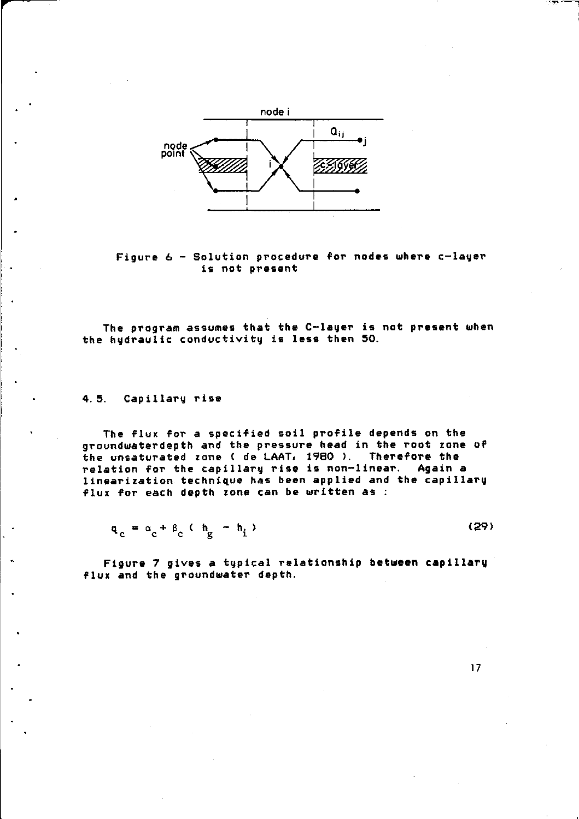

Figure 6 - Solution procedure for nodes where c-layer **is not present** 

**The program assumes that the C-layer is not present when the hydraulic conductivity is less then 50.** 

#### **4. 5. Capillary rise**

**The flux for a specified soil profile depends on the groundwaterdepth and the pressure head in the root zone of**  the unsaturated zone ( de LAAT, 1980 ). Therefore the **relation for the capillary rise is non-linear. Again a linearization technique has been applied and the capillary flux for each depth zone can be written as :** 

 $\alpha_c + \beta_c$  ( $\frac{\hbar}{g}$ **- h.**  î **(29)** 

**Figure 7 gives a typical relationship between capillary flux and the groundwater depth.**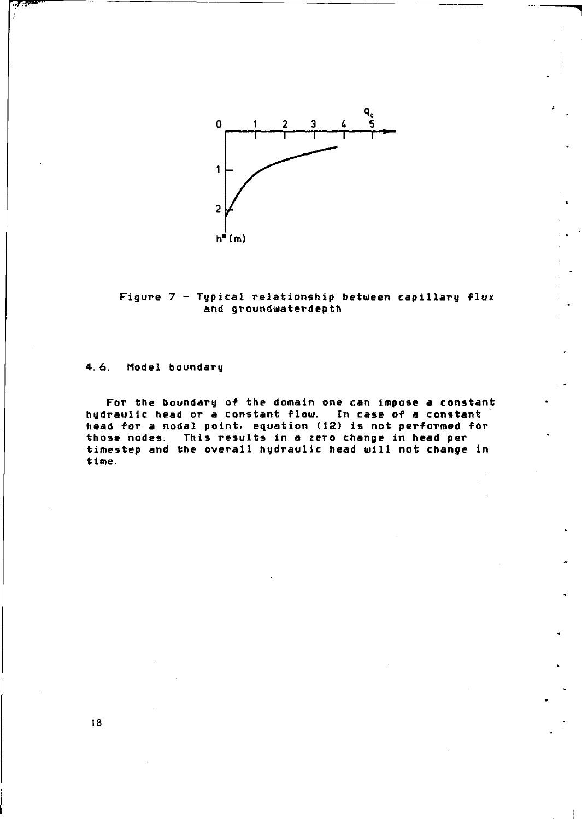

**Figure 7 - Typical relationship between capillary flux and grounduiaterdepth** 

#### **4. 6. Model boundary**

rizm\*^

**For the boundary of the domain one can impose a constant hydraulic head or a constant flow. In case of a constant head for a nodal point, equation (12) is not performed for those nodes. This results in a zero change in head per timestep and the overall hydraulic head will not change in time.**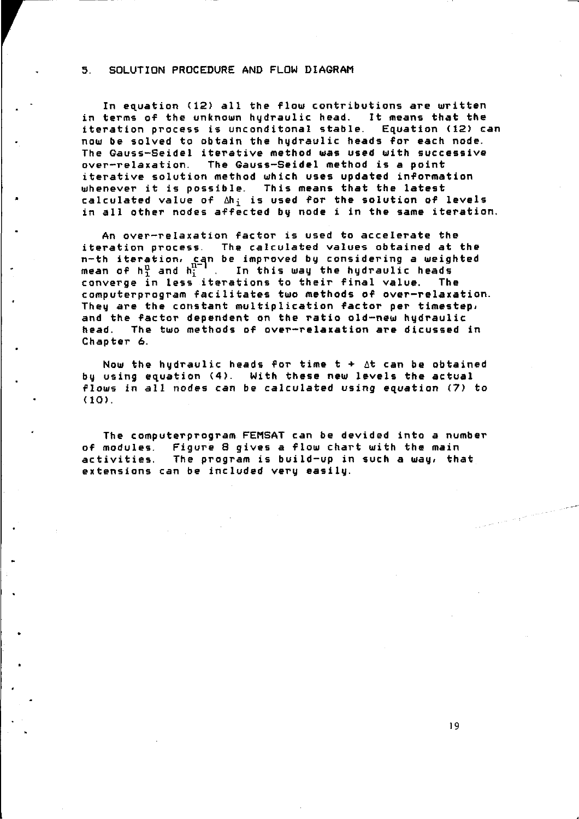#### **5. SOLUTION PROCEDURE AND FLOW DIAGRAM**

**In equation (12) all the flou» contributions are written in terms of the unknown hydraulic head. It means that the iteration process is unconditonal stable. Equation (12) can now be solved to obtain the hydraulic heads for each node. The Gauss-Seidel iterative method was used with successive over-relaxation. The Gauss-Seidel method is a point iterative solution method which uses updated information whenever it is possible. This means that the latest**  calculated value of  $\Delta h$ <sub>i</sub> is used for the solution of levels **in all other nodes affected by node i in the same iteration.** 

**An over-relaxation factor is used to accelerate the iteration process. The calculated values obtained at the n-th iteration/ can be improved by considering a weighted**  mean of  $\mathsf{h}_1^\mathrm{u}$  and  $\mathsf{h}_1^\mathrm{u}$  . In this way the hydrau converge in less iterations to their final valu **computerprogram facilitates two methods of over-relaxation. They are the constant multiplication factor per timestepi and the factor dependent on the ratio old-new hydraulic head. The two methods of over-relaxation are dicussed in Chapter 6.** 

Now the hydraulic heads for time  $t + \Delta t$  can be obtained **by using equation (4). With these new levels the actual flows in all nodes can be calculated using equation (7) to (10).** 

**The computerprogram FEMSAT can be devided into a number of modules. Figure 8 gives a flow chart with the main activities. The program is build-up in such a way/ that extensions can be included very easily.**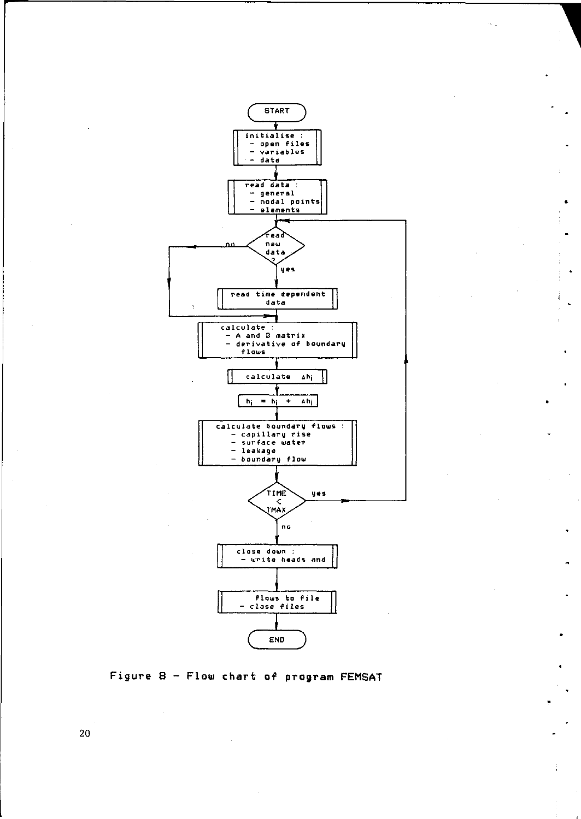

**1** 

Figure 8 - Flow chart of program FEMSAT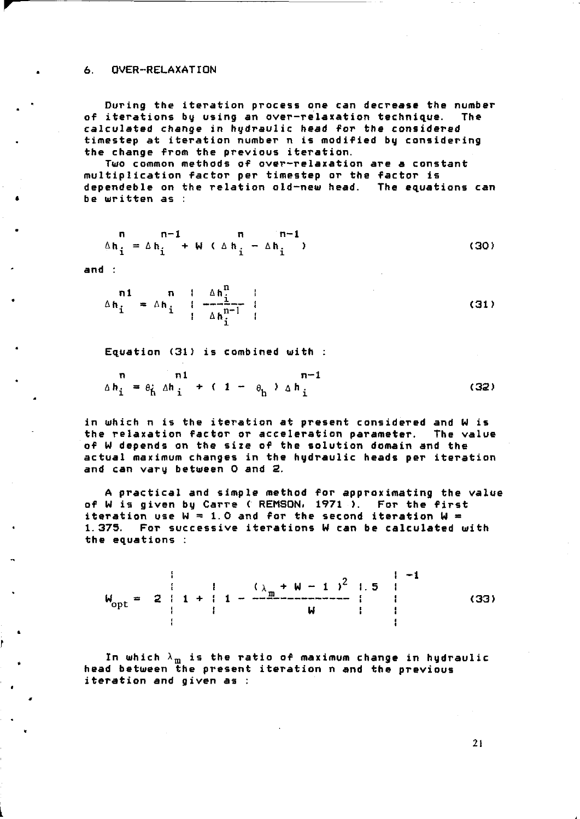#### **OVER-RELAXATION**  6.

**During the iteration process one can decrease the number of iterations by using an over-relaxation technique. The calculated change in hydraulic head for the considered timestep at iteration number n is modified by considering the change from the previous iteration.** 

Two common methods of over-relaxation are a constant **multiplication factor per timestep or the factor is dependeble on the relation old-new head. The equations can be written as :** 

$$
\Delta h_i = \Delta h_i + W (\Delta h_i - \Delta h_i)
$$
 (30)

**and :** 

$$
\Delta h_i = \Delta h_i \begin{array}{c} n & | & \Delta h_i^n \\ | & | & \frac{1}{\Delta h_i^{n-1}} \end{array} \tag{31}
$$

**Equation (31) is combined with :** 

$$
h_{i} = \theta_{h} \Delta h_{i} + (1 - \theta_{h}) \Delta h_{i}
$$
 (32)

**in which n is the iteration at present considered and W is the relaxation factor or acceleration parameter. The value of W depends on the size of the solution domain and the actual maximum changes in the hydraulic heads per iteration and can vary between 0 and 2.** 

**A practical and simple method for approximating the value of W is given by Carre ( REMSONi 1971 ). For the first**  iteration use  $W = 1.0$  and for the second iteration  $W =$ **1.37S. For successive iterations W can be calculated with the equations :** 

 $W_{\text{opt}} = 2 + 1 + 1$  $(\lambda_{m} + W$ **m W (33)** 

In which  $\lambda_{\mathbf{m}}$  is the ratio of maximum change in hydraulic head between the present iter<mark>ation n and the prev</mark>i **iteration and given as :**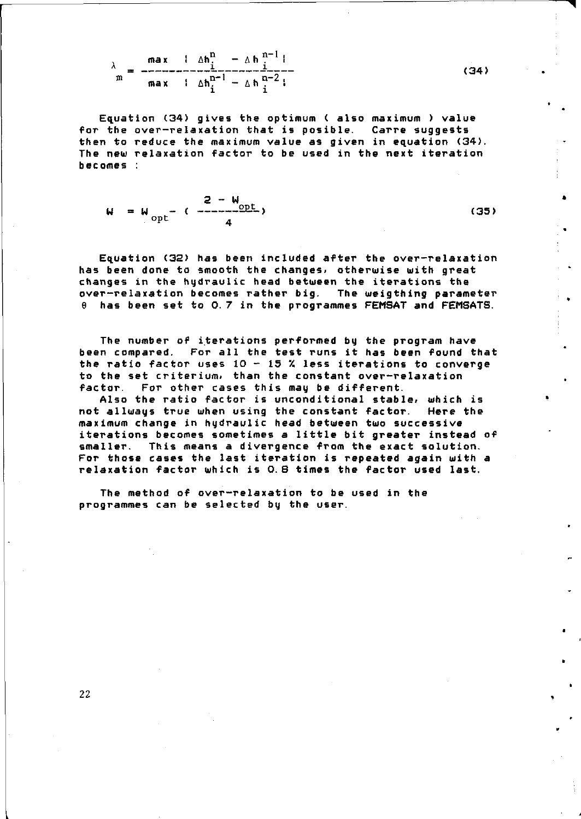**(34)** 

$$
\lambda_{m} = \frac{\max_{i} 1 - \Delta h_{i}^{n} - \Delta h_{i}^{n-1} \cdot \dots}{\max_{i} 1 - \Delta h_{i}^{n-1} - \Delta h_{i}^{n-2} \cdot \dots}
$$

**Equation (34) gives the optimum ( also maximum ) value for the over-relaxation that is posible. Carre suggests then to reduce the maximum value as given in equation (34). The new relaxation factor to be used in the next iteration becomes :** 

$$
W = W_{\text{opt}} - \left( \frac{2 - W_{\text{opt}}}{4} \right)
$$
 (35)

**Equation (32) has been included after the over-relaxation has been done to smooth the changes, otherwise with great changes in the hydraulic head between the iterations the over-relaxation becomes rather big. The weigthing parameter e has been set to 0. 7 in the programmes FEMSAT and FEMSATS.** 

**The number of iterations performed by the program have been compared. For all the test runs it has been found that the ratio factor uses 10 - 15 % less iterations to converge to the set criterium, than the constant over-relaxation factor. For other cases this may be different.** 

**Also the ratio factor is unconditional stable/ which is not allways true when using the constant factor. Here the maximum change in hydraulic head between two successive iterations becomes sometimes a little bit greater instead of smaller. This means a divergence from the exact solution. For those cases the last iteration is repeated again with a relaxation factor which is 0.8 times the factor used last.** 

**The method of over-relaxation to be used in the programmes can be selected by the user.**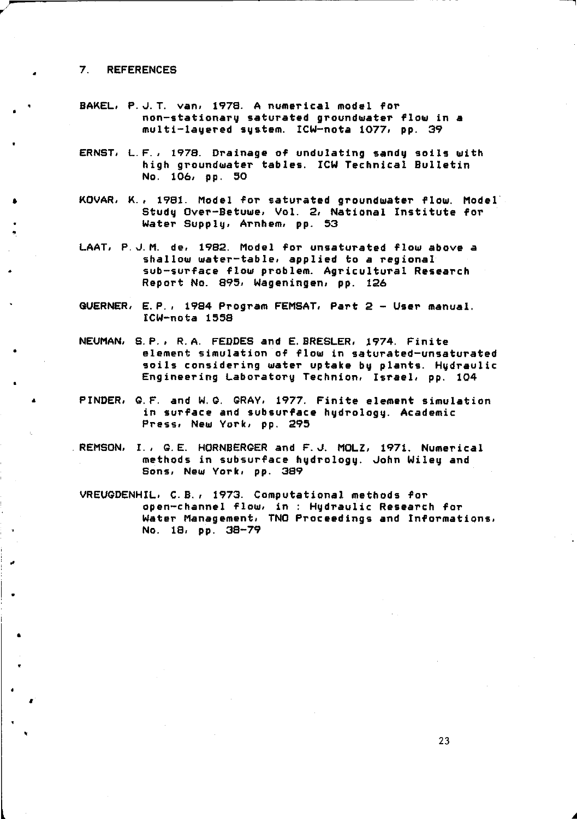#### **7. REFERENCES**

- **BAKEL» P. J. T. van» 1978. A numerical model for non-stationary saturated groundwater flow in a multi-layered system. ICW-nota 1077» pp. 39**
- **ERNST» L. F. » 1978. Drainage of undulating sandy soils with high groundwater tables. ICW Technical Bulletin No. 106» pp. 50**
- **KOVAR» K. , 1981. Model for saturated groundwater flow. Model Study Over-Betuwe» Vol. 2» National Institute for Water Supply» Arnhem» pp. S3**
- **LAAT» P. J. M. de, 1982. Model for unsaturated flow above a shallow water-table» applied to a regional sub-surface flow problem. Agricultural Research Report No. 895» Wageningen» pp. 126**
- **QUERNER» E. P. , 1984 Program FEMSAT, Part 2 User manual. ICW-nota 1558**
- **NEUMAN, S. P. , R. A. FEDDESand E. BRESLER, 1974. Finite element simulation of flow in saturated-unsaturated soils considering water uptake by plants. Hydraulic Engineering Laboratory Technion« Israel» pp. 104**
- **PINDER» G. F. and W.O. GRAY» 1977. Finite element simulation in surface and subsurface hydrology. Academic Press» New York» pp. 295**
- **REMSON, I.» G. E. HORNBERGER and F.J. MOLZ, 1971. Numerical methods in subsurface hydrology. John Wiley and Sons, New York» pp. 389** 
	- **VREUGDENHIL» C.B., 1973. Computational methods for**  open-channel flow, in : Hydr<mark>aulic Resea</mark>r **Water Management, TNO Proceedings and Informations» No. 18» pp. 38-79**